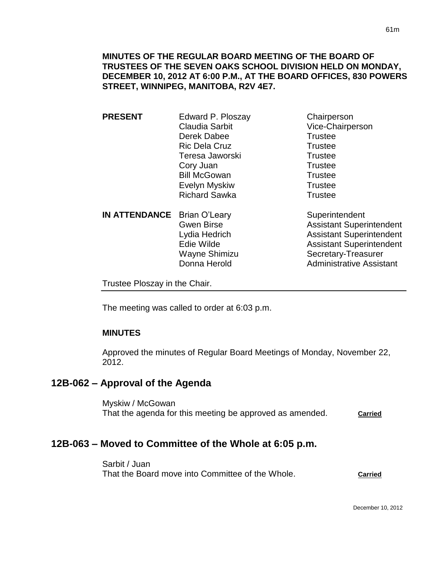**MINUTES OF THE REGULAR BOARD MEETING OF THE BOARD OF TRUSTEES OF THE SEVEN OAKS SCHOOL DIVISION HELD ON MONDAY, DECEMBER 10, 2012 AT 6:00 P.M., AT THE BOARD OFFICES, 830 POWERS STREET, WINNIPEG, MANITOBA, R2V 4E7.**

**PRESENT** Edward P. Ploszay Chairperson Claudia Sarbit Vice-Chairperson Derek Dabee Trustee Ric Dela Cruz **Trustee** Teresa Jaworski **Trustee** Cory Juan Trustee Bill McGowan Trustee Evelyn Myskiw **Trustee** Richard Sawka Trustee

**IN ATTENDANCE** Brian O'Leary Superintendent

Gwen Birse **Assistant Superintendent** Lydia Hedrich Assistant Superintendent Edie Wilde **Assistant Superintendent** Wayne Shimizu Secretary-Treasurer Donna Herold **Administrative Assistant** 

Trustee Ploszay in the Chair.

The meeting was called to order at 6:03 p.m.

#### **MINUTES**

Approved the minutes of Regular Board Meetings of Monday, November 22, 2012.

# **12B-062 – Approval of the Agenda**

Myskiw / McGowan That the agenda for this meeting be approved as amended. **Carried** 

# **12B-063 – Moved to Committee of the Whole at 6:05 p.m.**

Sarbit / Juan That the Board move into Committee of the Whole. **Carried**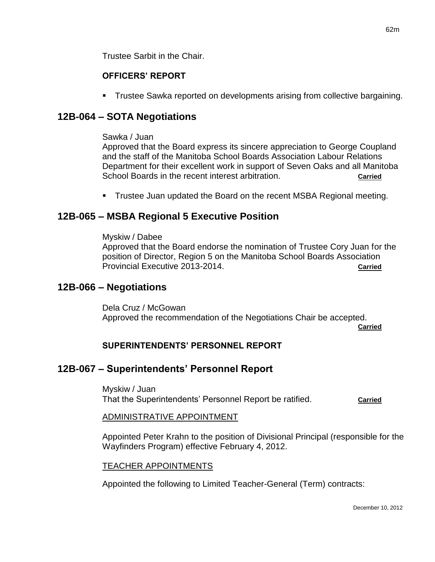Trustee Sarbit in the Chair.

# **OFFICERS' REPORT**

Trustee Sawka reported on developments arising from collective bargaining.

# **12B-064 – SOTA Negotiations**

## Sawka / Juan

Approved that the Board express its sincere appreciation to George Coupland and the staff of the Manitoba School Boards Association Labour Relations Department for their excellent work in support of Seven Oaks and all Manitoba School Boards in the recent interest arbitration. **Carried** carried

Trustee Juan updated the Board on the recent MSBA Regional meeting.

# **12B-065 – MSBA Regional 5 Executive Position**

#### Myskiw / Dabee

Approved that the Board endorse the nomination of Trustee Cory Juan for the position of Director, Region 5 on the Manitoba School Boards Association Provincial Executive 2013-2014. **Carried**

# **12B-066 – Negotiations**

Dela Cruz / McGowan Approved the recommendation of the Negotiations Chair be accepted.

**Carried**

# **SUPERINTENDENTS' PERSONNEL REPORT**

# **12B-067 – Superintendents' Personnel Report**

Myskiw / Juan That the Superintendents' Personnel Report be ratified. **Carried**

#### ADMINISTRATIVE APPOINTMENT

Appointed Peter Krahn to the position of Divisional Principal (responsible for the Wayfinders Program) effective February 4, 2012.

#### TEACHER APPOINTMENTS

Appointed the following to Limited Teacher-General (Term) contracts: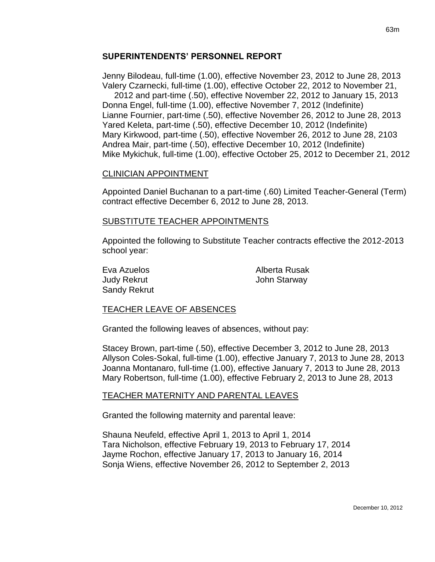#### **SUPERINTENDENTS' PERSONNEL REPORT**

Jenny Bilodeau, full-time (1.00), effective November 23, 2012 to June 28, 2013 Valery Czarnecki, full-time (1.00), effective October 22, 2012 to November 21,

 2012 and part-time (.50), effective November 22, 2012 to January 15, 2013 Donna Engel, full-time (1.00), effective November 7, 2012 (Indefinite) Lianne Fournier, part-time (.50), effective November 26, 2012 to June 28, 2013 Yared Keleta, part-time (.50), effective December 10, 2012 (Indefinite) Mary Kirkwood, part-time (.50), effective November 26, 2012 to June 28, 2103 Andrea Mair, part-time (.50), effective December 10, 2012 (Indefinite) Mike Mykichuk, full-time (1.00), effective October 25, 2012 to December 21, 2012

#### CLINICIAN APPOINTMENT

Appointed Daniel Buchanan to a part-time (.60) Limited Teacher-General (Term) contract effective December 6, 2012 to June 28, 2013.

#### SUBSTITUTE TEACHER APPOINTMENTS

Appointed the following to Substitute Teacher contracts effective the 2012-2013 school year:

Sandy Rekrut

Eva Azuelos **Alberta** Rusak Judy Rekrut John Starway

#### TEACHER LEAVE OF ABSENCES

Granted the following leaves of absences, without pay:

Stacey Brown, part-time (.50), effective December 3, 2012 to June 28, 2013 Allyson Coles-Sokal, full-time (1.00), effective January 7, 2013 to June 28, 2013 Joanna Montanaro, full-time (1.00), effective January 7, 2013 to June 28, 2013 Mary Robertson, full-time (1.00), effective February 2, 2013 to June 28, 2013

#### TEACHER MATERNITY AND PARENTAL LEAVES

Granted the following maternity and parental leave:

Shauna Neufeld, effective April 1, 2013 to April 1, 2014 Tara Nicholson, effective February 19, 2013 to February 17, 2014 Jayme Rochon, effective January 17, 2013 to January 16, 2014 Sonja Wiens, effective November 26, 2012 to September 2, 2013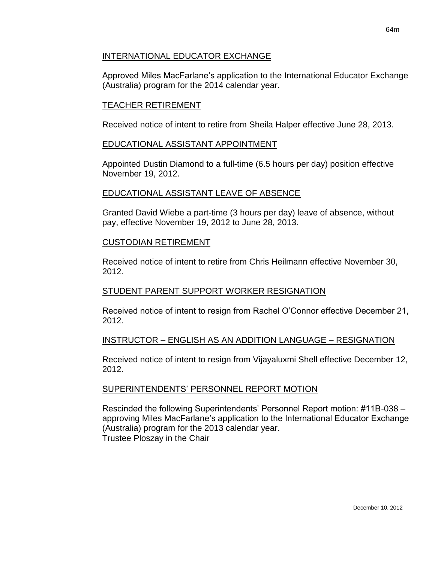## INTERNATIONAL EDUCATOR EXCHANGE

Approved Miles MacFarlane's application to the International Educator Exchange (Australia) program for the 2014 calendar year.

## TEACHER RETIREMENT

Received notice of intent to retire from Sheila Halper effective June 28, 2013.

## EDUCATIONAL ASSISTANT APPOINTMENT

Appointed Dustin Diamond to a full-time (6.5 hours per day) position effective November 19, 2012.

## EDUCATIONAL ASSISTANT LEAVE OF ABSENCE

Granted David Wiebe a part-time (3 hours per day) leave of absence, without pay, effective November 19, 2012 to June 28, 2013.

#### CUSTODIAN RETIREMENT

Received notice of intent to retire from Chris Heilmann effective November 30, 2012.

#### STUDENT PARENT SUPPORT WORKER RESIGNATION

Received notice of intent to resign from Rachel O'Connor effective December 21, 2012.

## INSTRUCTOR – ENGLISH AS AN ADDITION LANGUAGE – RESIGNATION

Received notice of intent to resign from Vijayaluxmi Shell effective December 12, 2012.

## SUPERINTENDENTS' PERSONNEL REPORT MOTION

Rescinded the following Superintendents' Personnel Report motion: #11B-038 – approving Miles MacFarlane's application to the International Educator Exchange (Australia) program for the 2013 calendar year. Trustee Ploszay in the Chair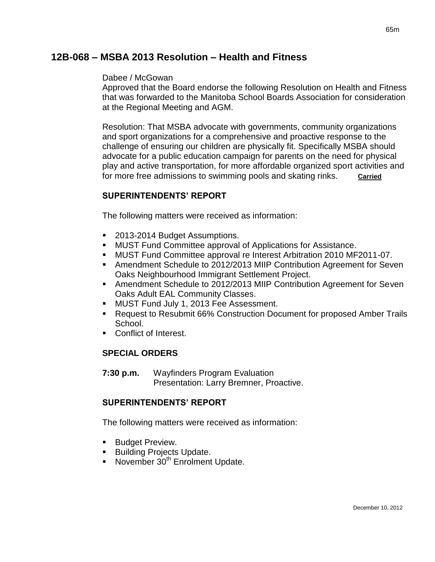# **12B-068 – MSBA 2013 Resolution – Health and Fitness**

#### Dabee / McGowan

Approved that the Board endorse the following Resolution on Health and Fitness that was forwarded to the Manitoba School Boards Association for consideration at the Regional Meeting and AGM.

Resolution: That MSBA advocate with governments, community organizations and sport organizations for a comprehensive and proactive response to the challenge of ensuring our children are physically fit. Specifically MSBA should advocate for a public education campaign for parents on the need for physical play and active transportation, for more affordable organized sport activities and for more free admissions to swimming pools and skating rinks. **Carried**

## **SUPERINTENDENTS' REPORT**

The following matters were received as information:

- 2013-2014 Budget Assumptions.
- MUST Fund Committee approval of Applications for Assistance.
- MUST Fund Committee approval re Interest Arbitration 2010 MF2011-07.
- Amendment Schedule to 2012/2013 MIIP Contribution Agreement for Seven Oaks Neighbourhood Immigrant Settlement Project.
- Amendment Schedule to 2012/2013 MIIP Contribution Agreement for Seven Oaks Adult EAL Community Classes.
- **MUST Fund July 1, 2013 Fee Assessment.**
- Request to Resubmit 66% Construction Document for proposed Amber Trails School.
- Conflict of Interest.

#### **SPECIAL ORDERS**

**7:30 p.m.** Wayfinders Program Evaluation Presentation: Larry Bremner, Proactive.

#### **SUPERINTENDENTS' REPORT**

The following matters were received as information:

- **Budget Preview.**
- **Building Projects Update.**
- November  $30<sup>th</sup>$  Enrolment Update.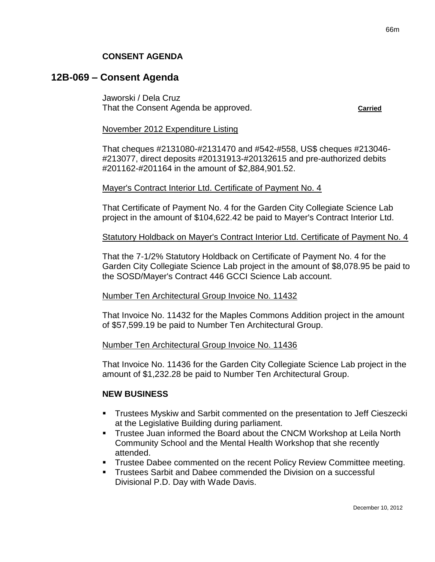# **12B-069 – Consent Agenda**

Jaworski / Dela Cruz That the Consent Agenda be approved. **Carried**

#### November 2012 Expenditure Listing

That cheques #2131080-#2131470 and #542-#558, US\$ cheques #213046- #213077, direct deposits #20131913-#20132615 and pre-authorized debits #201162-#201164 in the amount of \$2,884,901.52.

#### Mayer's Contract Interior Ltd. Certificate of Payment No. 4

That Certificate of Payment No. 4 for the Garden City Collegiate Science Lab project in the amount of \$104,622.42 be paid to Mayer's Contract Interior Ltd.

#### Statutory Holdback on Mayer's Contract Interior Ltd. Certificate of Payment No. 4

That the 7-1/2% Statutory Holdback on Certificate of Payment No. 4 for the Garden City Collegiate Science Lab project in the amount of \$8,078.95 be paid to the SOSD/Mayer's Contract 446 GCCI Science Lab account.

#### Number Ten Architectural Group Invoice No. 11432

That Invoice No. 11432 for the Maples Commons Addition project in the amount of \$57,599.19 be paid to Number Ten Architectural Group.

#### Number Ten Architectural Group Invoice No. 11436

That Invoice No. 11436 for the Garden City Collegiate Science Lab project in the amount of \$1,232.28 be paid to Number Ten Architectural Group.

#### **NEW BUSINESS**

- Trustees Myskiw and Sarbit commented on the presentation to Jeff Cieszecki at the Legislative Building during parliament.
- Trustee Juan informed the Board about the CNCM Workshop at Leila North Community School and the Mental Health Workshop that she recently attended.
- Trustee Dabee commented on the recent Policy Review Committee meeting.
- Trustees Sarbit and Dabee commended the Division on a successful Divisional P.D. Day with Wade Davis.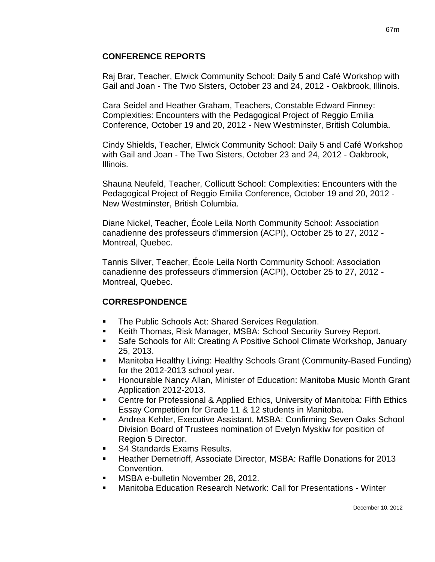#### **CONFERENCE REPORTS**

Raj Brar, Teacher, Elwick Community School: Daily 5 and Café Workshop with Gail and Joan - The Two Sisters, October 23 and 24, 2012 - Oakbrook, Illinois.

Cara Seidel and Heather Graham, Teachers, Constable Edward Finney: Complexities: Encounters with the Pedagogical Project of Reggio Emilia Conference, October 19 and 20, 2012 - New Westminster, British Columbia.

Cindy Shields, Teacher, Elwick Community School: Daily 5 and Café Workshop with Gail and Joan - The Two Sisters, October 23 and 24, 2012 - Oakbrook, Illinois.

Shauna Neufeld, Teacher, Collicutt School: Complexities: Encounters with the Pedagogical Project of Reggio Emilia Conference, October 19 and 20, 2012 - New Westminster, British Columbia.

Diane Nickel, Teacher, École Leila North Community School: Association canadienne des professeurs d'immersion (ACPI), October 25 to 27, 2012 - Montreal, Quebec.

Tannis Silver, Teacher, École Leila North Community School: Association canadienne des professeurs d'immersion (ACPI), October 25 to 27, 2012 - Montreal, Quebec.

## **CORRESPONDENCE**

- **The Public Schools Act: Shared Services Regulation.**
- **Keith Thomas, Risk Manager, MSBA: School Security Survey Report.**
- Safe Schools for All: Creating A Positive School Climate Workshop, January 25, 2013.
- Manitoba Healthy Living: Healthy Schools Grant (Community-Based Funding) for the 2012-2013 school year.
- Honourable Nancy Allan, Minister of Education: Manitoba Music Month Grant Application 2012-2013.
- Centre for Professional & Applied Ethics, University of Manitoba: Fifth Ethics Essay Competition for Grade 11 & 12 students in Manitoba.
- Andrea Kehler, Executive Assistant, MSBA: Confirming Seven Oaks School Division Board of Trustees nomination of Evelyn Myskiw for position of Region 5 Director.
- S4 Standards Exams Results.
- Heather Demetrioff, Associate Director, MSBA: Raffle Donations for 2013 Convention.
- MSBA e-bulletin November 28, 2012.
- Manitoba Education Research Network: Call for Presentations Winter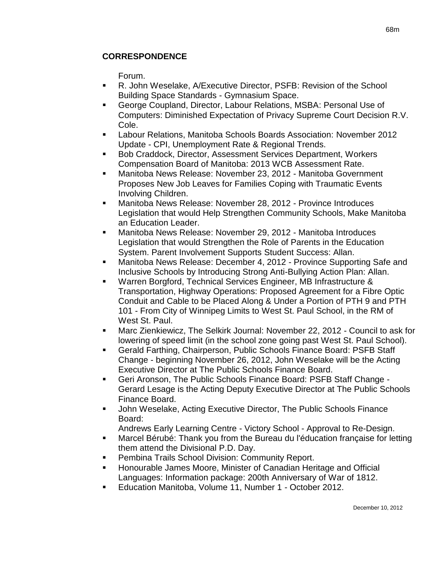Forum.

- R. John Weselake, A/Executive Director, PSFB: Revision of the School Building Space Standards - Gymnasium Space.
- George Coupland, Director, Labour Relations, MSBA: Personal Use of Computers: Diminished Expectation of Privacy Supreme Court Decision R.V. Cole.
- Labour Relations, Manitoba Schools Boards Association: November 2012 Update - CPI, Unemployment Rate & Regional Trends.
- Bob Craddock, Director, Assessment Services Department, Workers Compensation Board of Manitoba: 2013 WCB Assessment Rate.
- Manitoba News Release: November 23, 2012 Manitoba Government Proposes New Job Leaves for Families Coping with Traumatic Events Involving Children.
- Manitoba News Release: November 28, 2012 Province Introduces Legislation that would Help Strengthen Community Schools, Make Manitoba an Education Leader.
- Manitoba News Release: November 29, 2012 Manitoba Introduces Legislation that would Strengthen the Role of Parents in the Education System. Parent Involvement Supports Student Success: Allan.
- Manitoba News Release: December 4, 2012 Province Supporting Safe and Inclusive Schools by Introducing Strong Anti-Bullying Action Plan: Allan.
- Warren Borgford, Technical Services Engineer, MB Infrastructure & Transportation, Highway Operations: Proposed Agreement for a Fibre Optic Conduit and Cable to be Placed Along & Under a Portion of PTH 9 and PTH 101 - From City of Winnipeg Limits to West St. Paul School, in the RM of West St. Paul.
- Marc Zienkiewicz, The Selkirk Journal: November 22, 2012 Council to ask for lowering of speed limit (in the school zone going past West St. Paul School).
- Gerald Farthing, Chairperson, Public Schools Finance Board: PSFB Staff Change - beginning November 26, 2012, John Weselake will be the Acting Executive Director at The Public Schools Finance Board.
- Geri Aronson, The Public Schools Finance Board: PSFB Staff Change Gerard Lesage is the Acting Deputy Executive Director at The Public Schools Finance Board.
- John Weselake, Acting Executive Director, The Public Schools Finance Board:
	- Andrews Early Learning Centre Victory School Approval to Re-Design.
- Marcel Bérubé: Thank you from the Bureau du l'éducation française for letting them attend the Divisional P.D. Day.
- Pembina Trails School Division: Community Report.
- Honourable James Moore, Minister of Canadian Heritage and Official Languages: Information package: 200th Anniversary of War of 1812.
- Education Manitoba, Volume 11, Number 1 October 2012.